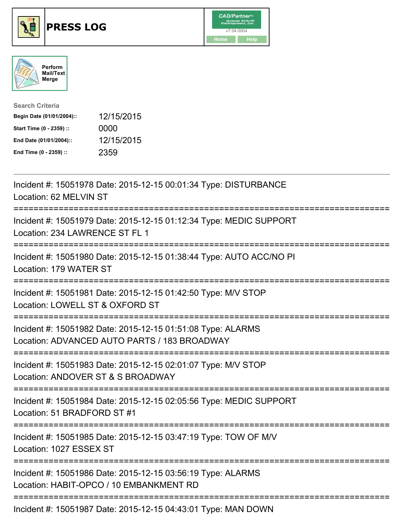





| <b>Search Criteria</b>    |            |
|---------------------------|------------|
| Begin Date (01/01/2004):: | 12/15/2015 |
| Start Time (0 - 2359) ::  | 0000       |
| End Date (01/01/2004)::   | 12/15/2015 |
| End Time (0 - 2359) ::    | 2359       |

| Incident #: 15051978 Date: 2015-12-15 00:01:34 Type: DISTURBANCE<br>Location: 62 MELVIN ST                                        |
|-----------------------------------------------------------------------------------------------------------------------------------|
| Incident #: 15051979 Date: 2015-12-15 01:12:34 Type: MEDIC SUPPORT<br>Location: 234 LAWRENCE ST FL 1<br>:==========               |
| Incident #: 15051980 Date: 2015-12-15 01:38:44 Type: AUTO ACC/NO PI<br>Location: 179 WATER ST<br>-----------------                |
| Incident #: 15051981 Date: 2015-12-15 01:42:50 Type: M/V STOP<br>Location: LOWELL ST & OXFORD ST<br>.------------------------     |
| Incident #: 15051982 Date: 2015-12-15 01:51:08 Type: ALARMS<br>Location: ADVANCED AUTO PARTS / 183 BROADWAY                       |
| Incident #: 15051983 Date: 2015-12-15 02:01:07 Type: M/V STOP<br>Location: ANDOVER ST & S BROADWAY<br>=========================== |
| Incident #: 15051984 Date: 2015-12-15 02:05:56 Type: MEDIC SUPPORT<br>Location: 51 BRADFORD ST #1                                 |
| =======================<br>Incident #: 15051985 Date: 2015-12-15 03:47:19 Type: TOW OF M/V<br>Location: 1027 ESSEX ST             |
| Incident #: 15051986 Date: 2015-12-15 03:56:19 Type: ALARMS<br>Location: HABIT-OPCO / 10 EMBANKMENT RD                            |
| Incident #: 15051987 Date: 2015-12-15 04:43:01 Type: MAN DOWN                                                                     |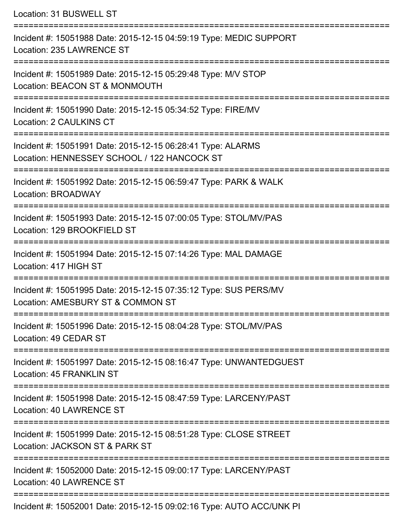| Location: 31 BUSWELL ST                                                                                    |
|------------------------------------------------------------------------------------------------------------|
| Incident #: 15051988 Date: 2015-12-15 04:59:19 Type: MEDIC SUPPORT<br>Location: 235 LAWRENCE ST            |
| Incident #: 15051989 Date: 2015-12-15 05:29:48 Type: M/V STOP<br>Location: BEACON ST & MONMOUTH            |
| Incident #: 15051990 Date: 2015-12-15 05:34:52 Type: FIRE/MV<br><b>Location: 2 CAULKINS CT</b>             |
| Incident #: 15051991 Date: 2015-12-15 06:28:41 Type: ALARMS<br>Location: HENNESSEY SCHOOL / 122 HANCOCK ST |
| Incident #: 15051992 Date: 2015-12-15 06:59:47 Type: PARK & WALK<br>Location: BROADWAY                     |
| Incident #: 15051993 Date: 2015-12-15 07:00:05 Type: STOL/MV/PAS<br>Location: 129 BROOKFIELD ST            |
| Incident #: 15051994 Date: 2015-12-15 07:14:26 Type: MAL DAMAGE<br>Location: 417 HIGH ST                   |
| Incident #: 15051995 Date: 2015-12-15 07:35:12 Type: SUS PERS/MV<br>Location: AMESBURY ST & COMMON ST      |
| Incident #: 15051996 Date: 2015-12-15 08:04:28 Type: STOL/MV/PAS<br>Location: 49 CEDAR ST                  |
| Incident #: 15051997 Date: 2015-12-15 08:16:47 Type: UNWANTEDGUEST<br>Location: 45 FRANKLIN ST             |
| Incident #: 15051998 Date: 2015-12-15 08:47:59 Type: LARCENY/PAST<br>Location: 40 LAWRENCE ST              |
| Incident #: 15051999 Date: 2015-12-15 08:51:28 Type: CLOSE STREET<br>Location: JACKSON ST & PARK ST        |
| Incident #: 15052000 Date: 2015-12-15 09:00:17 Type: LARCENY/PAST<br>Location: 40 LAWRENCE ST              |
| Incident #: 15052001 Date: 2015-12-15 09:02:16 Type: AUTO ACC/UNK PI                                       |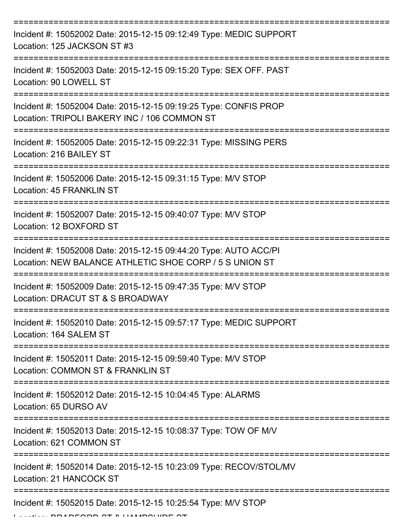| Incident #: 15052002 Date: 2015-12-15 09:12:49 Type: MEDIC SUPPORT<br>Location: 125 JACKSON ST #3                           |
|-----------------------------------------------------------------------------------------------------------------------------|
| Incident #: 15052003 Date: 2015-12-15 09:15:20 Type: SEX OFF. PAST<br>Location: 90 LOWELL ST                                |
| Incident #: 15052004 Date: 2015-12-15 09:19:25 Type: CONFIS PROP<br>Location: TRIPOLI BAKERY INC / 106 COMMON ST            |
| Incident #: 15052005 Date: 2015-12-15 09:22:31 Type: MISSING PERS<br>Location: 216 BAILEY ST                                |
| Incident #: 15052006 Date: 2015-12-15 09:31:15 Type: M/V STOP<br>Location: 45 FRANKLIN ST                                   |
| Incident #: 15052007 Date: 2015-12-15 09:40:07 Type: M/V STOP<br>Location: 12 BOXFORD ST                                    |
| Incident #: 15052008 Date: 2015-12-15 09:44:20 Type: AUTO ACC/PI<br>Location: NEW BALANCE ATHLETIC SHOE CORP / 5 S UNION ST |
| Incident #: 15052009 Date: 2015-12-15 09:47:35 Type: M/V STOP<br>Location: DRACUT ST & S BROADWAY                           |
| Incident #: 15052010 Date: 2015-12-15 09:57:17 Type: MEDIC SUPPORT<br>Location: 164 SALEM ST                                |
| Incident #: 15052011 Date: 2015-12-15 09:59:40 Type: M/V STOP<br>Location: COMMON ST & FRANKLIN ST                          |
| Incident #: 15052012 Date: 2015-12-15 10:04:45 Type: ALARMS<br>Location: 65 DURSO AV                                        |
| Incident #: 15052013 Date: 2015-12-15 10:08:37 Type: TOW OF M/V<br>Location: 621 COMMON ST                                  |
| Incident #: 15052014 Date: 2015-12-15 10:23:09 Type: RECOV/STOL/MV<br>Location: 21 HANCOCK ST                               |
| Incident #: 15052015 Date: 2015-12-15 10:25:54 Type: M/V STOP                                                               |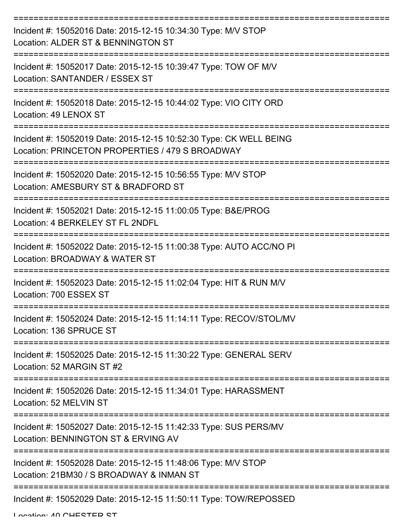| Incident #: 15052016 Date: 2015-12-15 10:34:30 Type: M/V STOP<br>Location: ALDER ST & BENNINGTON ST                   |
|-----------------------------------------------------------------------------------------------------------------------|
| Incident #: 15052017 Date: 2015-12-15 10:39:47 Type: TOW OF M/V<br>Location: SANTANDER / ESSEX ST                     |
| Incident #: 15052018 Date: 2015-12-15 10:44:02 Type: VIO CITY ORD<br>Location: 49 LENOX ST                            |
| Incident #: 15052019 Date: 2015-12-15 10:52:30 Type: CK WELL BEING<br>Location: PRINCETON PROPERTIES / 479 S BROADWAY |
| Incident #: 15052020 Date: 2015-12-15 10:56:55 Type: M/V STOP<br>Location: AMESBURY ST & BRADFORD ST                  |
| Incident #: 15052021 Date: 2015-12-15 11:00:05 Type: B&E/PROG<br>Location: 4 BERKELEY ST FL 2NDFL                     |
| Incident #: 15052022 Date: 2015-12-15 11:00:38 Type: AUTO ACC/NO PI<br>Location: BROADWAY & WATER ST                  |
| Incident #: 15052023 Date: 2015-12-15 11:02:04 Type: HIT & RUN M/V<br>Location: 700 ESSEX ST                          |
| Incident #: 15052024 Date: 2015-12-15 11:14:11 Type: RECOV/STOL/MV<br>Location: 136 SPRUCE ST                         |
| Incident #: 15052025 Date: 2015-12-15 11:30:22 Type: GENERAL SERV<br>Location: 52 MARGIN ST #2                        |
| Incident #: 15052026 Date: 2015-12-15 11:34:01 Type: HARASSMENT<br>Location: 52 MELVIN ST                             |
| Incident #: 15052027 Date: 2015-12-15 11:42:33 Type: SUS PERS/MV<br>Location: BENNINGTON ST & ERVING AV               |
| Incident #: 15052028 Date: 2015-12-15 11:48:06 Type: M/V STOP<br>Location: 21BM30 / S BROADWAY & INMAN ST             |
| Incident #: 15052029 Date: 2015-12-15 11:50:11 Type: TOW/REPOSSED                                                     |

Location: 40 CHESTED ST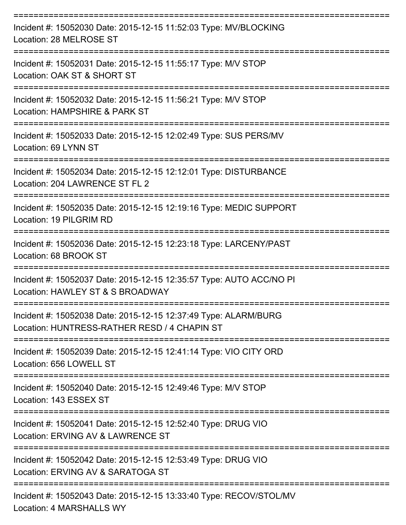| Incident #: 15052030 Date: 2015-12-15 11:52:03 Type: MV/BLOCKING<br>Location: 28 MELROSE ST                                             |
|-----------------------------------------------------------------------------------------------------------------------------------------|
| Incident #: 15052031 Date: 2015-12-15 11:55:17 Type: M/V STOP<br>Location: OAK ST & SHORT ST                                            |
| Incident #: 15052032 Date: 2015-12-15 11:56:21 Type: M/V STOP<br>Location: HAMPSHIRE & PARK ST                                          |
| Incident #: 15052033 Date: 2015-12-15 12:02:49 Type: SUS PERS/MV<br>Location: 69 LYNN ST                                                |
| =================================<br>Incident #: 15052034 Date: 2015-12-15 12:12:01 Type: DISTURBANCE<br>Location: 204 LAWRENCE ST FL 2 |
| Incident #: 15052035 Date: 2015-12-15 12:19:16 Type: MEDIC SUPPORT<br>Location: 19 PILGRIM RD                                           |
| Incident #: 15052036 Date: 2015-12-15 12:23:18 Type: LARCENY/PAST<br>Location: 68 BROOK ST                                              |
| Incident #: 15052037 Date: 2015-12-15 12:35:57 Type: AUTO ACC/NO PI<br>Location: HAWLEY ST & S BROADWAY                                 |
| Incident #: 15052038 Date: 2015-12-15 12:37:49 Type: ALARM/BURG<br>Location: HUNTRESS-RATHER RESD / 4 CHAPIN ST                         |
| Incident #: 15052039 Date: 2015-12-15 12:41:14 Type: VIO CITY ORD<br>Location: 656 LOWELL ST                                            |
| Incident #: 15052040 Date: 2015-12-15 12:49:46 Type: M/V STOP<br>Location: 143 ESSEX ST                                                 |
| Incident #: 15052041 Date: 2015-12-15 12:52:40 Type: DRUG VIO<br>Location: ERVING AV & LAWRENCE ST                                      |
| Incident #: 15052042 Date: 2015-12-15 12:53:49 Type: DRUG VIO<br>Location: ERVING AV & SARATOGA ST                                      |
| Incident #: 15052043 Date: 2015-12-15 13:33:40 Type: RECOV/STOL/MV                                                                      |

Location: 4 MARSHALLS WY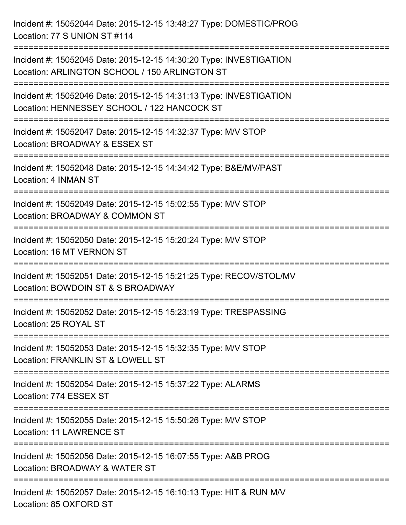Incident #: 15052044 Date: 2015-12-15 13:48:27 Type: DOMESTIC/PROG Location: 77 S UNION ST #114 =========================================================================== Incident #: 15052045 Date: 2015-12-15 14:30:20 Type: INVESTIGATION Location: ARLINGTON SCHOOL / 150 ARLINGTON ST =========================================================================== Incident #: 15052046 Date: 2015-12-15 14:31:13 Type: INVESTIGATION Location: HENNESSEY SCHOOL / 122 HANCOCK ST =========================================================================== Incident #: 15052047 Date: 2015-12-15 14:32:37 Type: M/V STOP Location: BROADWAY & ESSEX ST =========================================================================== Incident #: 15052048 Date: 2015-12-15 14:34:42 Type: B&E/MV/PAST Location: 4 INMAN ST =========================================================================== Incident #: 15052049 Date: 2015-12-15 15:02:55 Type: M/V STOP Location: BROADWAY & COMMON ST =========================================================================== Incident #: 15052050 Date: 2015-12-15 15:20:24 Type: M/V STOP Location: 16 MT VERNON ST =========================================================================== Incident #: 15052051 Date: 2015-12-15 15:21:25 Type: RECOV/STOL/MV Location: BOWDOIN ST & S BROADWAY =========================================================================== Incident #: 15052052 Date: 2015-12-15 15:23:19 Type: TRESPASSING Location: 25 ROYAL ST =========================================================================== Incident #: 15052053 Date: 2015-12-15 15:32:35 Type: M/V STOP Location: FRANKLIN ST & LOWELL ST =========================================================================== Incident #: 15052054 Date: 2015-12-15 15:37:22 Type: ALARMS Location: 774 ESSEX ST =========================================================================== Incident #: 15052055 Date: 2015-12-15 15:50:26 Type: M/V STOP Location: 11 LAWRENCE ST =========================================================================== Incident #: 15052056 Date: 2015-12-15 16:07:55 Type: A&B PROG Location: BROADWAY & WATER ST =========================================================================== Incident #: 15052057 Date: 2015-12-15 16:10:13 Type: HIT & RUN M/V Location: 85 OXFORD ST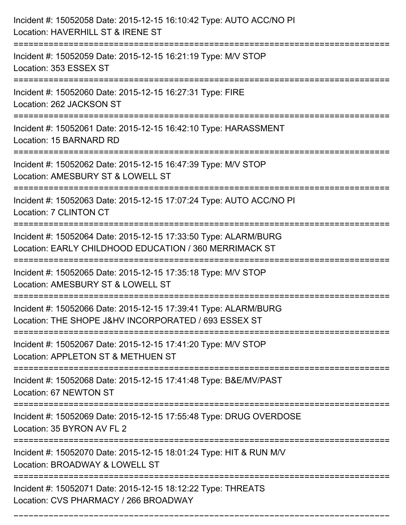| Incident #: 15052058 Date: 2015-12-15 16:10:42 Type: AUTO ACC/NO PI<br>Location: HAVERHILL ST & IRENE ST                                  |
|-------------------------------------------------------------------------------------------------------------------------------------------|
| Incident #: 15052059 Date: 2015-12-15 16:21:19 Type: M/V STOP<br>Location: 353 ESSEX ST                                                   |
| Incident #: 15052060 Date: 2015-12-15 16:27:31 Type: FIRE<br>Location: 262 JACKSON ST                                                     |
| Incident #: 15052061 Date: 2015-12-15 16:42:10 Type: HARASSMENT<br>Location: 15 BARNARD RD                                                |
| Incident #: 15052062 Date: 2015-12-15 16:47:39 Type: M/V STOP<br>Location: AMESBURY ST & LOWELL ST                                        |
| Incident #: 15052063 Date: 2015-12-15 17:07:24 Type: AUTO ACC/NO PI<br>Location: 7 CLINTON CT                                             |
| Incident #: 15052064 Date: 2015-12-15 17:33:50 Type: ALARM/BURG<br>Location: EARLY CHILDHOOD EDUCATION / 360 MERRIMACK ST                 |
| Incident #: 15052065 Date: 2015-12-15 17:35:18 Type: M/V STOP<br>Location: AMESBURY ST & LOWELL ST                                        |
| Incident #: 15052066 Date: 2015-12-15 17:39:41 Type: ALARM/BURG<br>Location: THE SHOPE J&HV INCORPORATED / 693 ESSEX ST                   |
| Incident #: 15052067 Date: 2015-12-15 17:41:20 Type: M/V STOP<br>Location: APPLETON ST & METHUEN ST                                       |
| Incident #: 15052068 Date: 2015-12-15 17:41:48 Type: B&E/MV/PAST<br>Location: 67 NEWTON ST                                                |
| Incident #: 15052069 Date: 2015-12-15 17:55:48 Type: DRUG OVERDOSE<br>Location: 35 BYRON AV FL 2                                          |
| =================================<br>Incident #: 15052070 Date: 2015-12-15 18:01:24 Type: HIT & RUN M/V<br>Location: BROADWAY & LOWELL ST |
| Incident #: 15052071 Date: 2015-12-15 18:12:22 Type: THREATS<br>Location: CVS PHARMACY / 266 BROADWAY                                     |

===========================================================================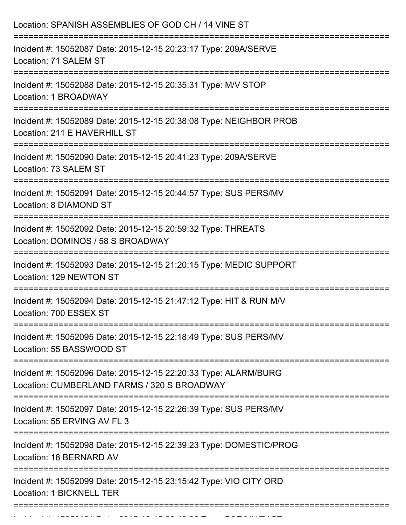| Location: SPANISH ASSEMBLIES OF GOD CH / 14 VINE ST                                                                  |
|----------------------------------------------------------------------------------------------------------------------|
| Incident #: 15052087 Date: 2015-12-15 20:23:17 Type: 209A/SERVE<br>Location: 71 SALEM ST                             |
| Incident #: 15052088 Date: 2015-12-15 20:35:31 Type: M/V STOP<br>Location: 1 BROADWAY                                |
| Incident #: 15052089 Date: 2015-12-15 20:38:08 Type: NEIGHBOR PROB<br>Location: 211 E HAVERHILL ST                   |
| Incident #: 15052090 Date: 2015-12-15 20:41:23 Type: 209A/SERVE<br>Location: 73 SALEM ST                             |
| Incident #: 15052091 Date: 2015-12-15 20:44:57 Type: SUS PERS/MV<br>Location: 8 DIAMOND ST                           |
| Incident #: 15052092 Date: 2015-12-15 20:59:32 Type: THREATS<br>Location: DOMINOS / 58 S BROADWAY                    |
| ===================<br>Incident #: 15052093 Date: 2015-12-15 21:20:15 Type: MEDIC SUPPORT<br>Location: 129 NEWTON ST |
| Incident #: 15052094 Date: 2015-12-15 21:47:12 Type: HIT & RUN M/V<br>Location: 700 ESSEX ST                         |
| Incident #: 15052095 Date: 2015-12-15 22:18:49 Type: SUS PERS/MV<br>Location: 55 BASSWOOD ST                         |
| Incident #: 15052096 Date: 2015-12-15 22:20:33 Type: ALARM/BURG<br>Location: CUMBERLAND FARMS / 320 S BROADWAY       |
| Incident #: 15052097 Date: 2015-12-15 22:26:39 Type: SUS PERS/MV<br>Location: 55 ERVING AV FL 3                      |
| Incident #: 15052098 Date: 2015-12-15 22:39:23 Type: DOMESTIC/PROG<br>Location: 18 BERNARD AV                        |
| Incident #: 15052099 Date: 2015-12-15 23:15:42 Type: VIO CITY ORD<br>Location: 1 BICKNELL TER                        |
|                                                                                                                      |